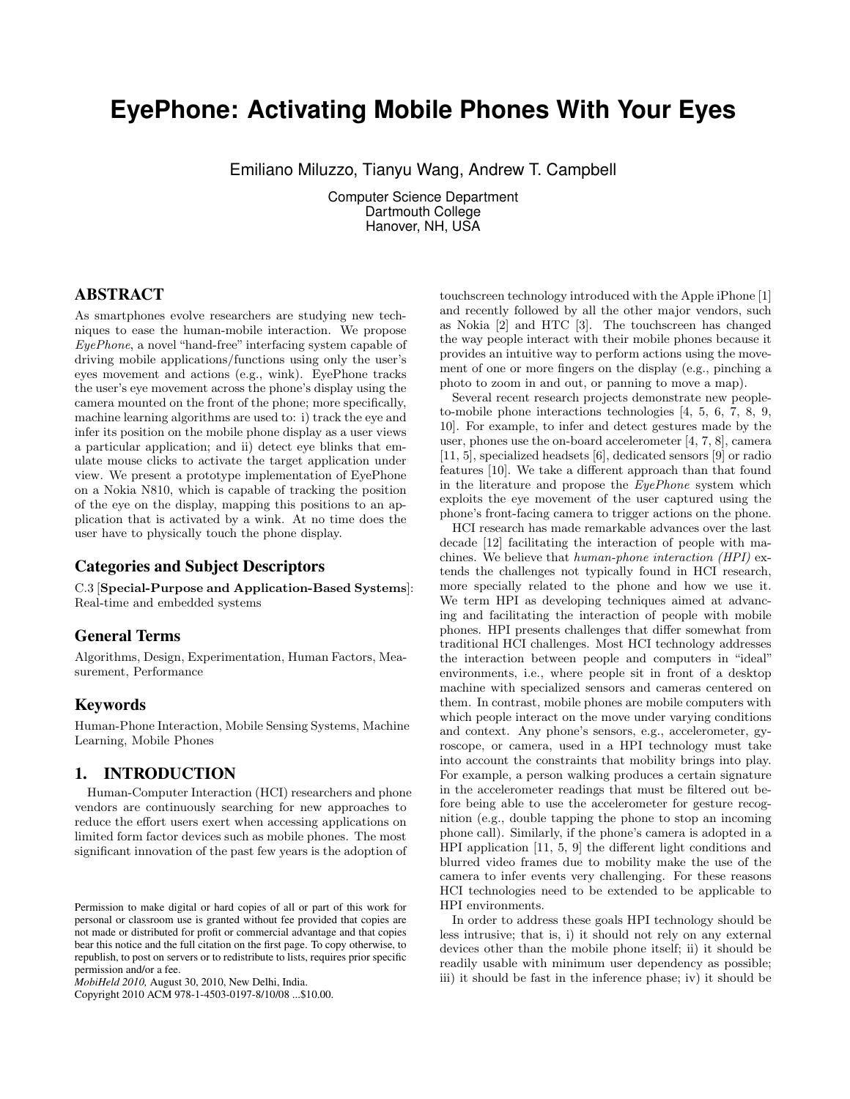# **EyePhone: Activating Mobile Phones With Your Eyes**

Emiliano Miluzzo, Tianyu Wang, Andrew T. Campbell

Computer Science Department Dartmouth College Hanover, NH, USA

# ABSTRACT

As smartphones evolve researchers are studying new techniques to ease the human-mobile interaction. We propose EyePhone, a novel "hand-free" interfacing system capable of driving mobile applications/functions using only the user's eyes movement and actions (e.g., wink). EyePhone tracks the user's eye movement across the phone's display using the camera mounted on the front of the phone; more specifically, machine learning algorithms are used to: i) track the eye and infer its position on the mobile phone display as a user views a particular application; and ii) detect eye blinks that emulate mouse clicks to activate the target application under view. We present a prototype implementation of EyePhone on a Nokia N810, which is capable of tracking the position of the eye on the display, mapping this positions to an application that is activated by a wink. At no time does the user have to physically touch the phone display.

#### Categories and Subject Descriptors

C.3 [Special-Purpose and Application-Based Systems]: Real-time and embedded systems

#### General Terms

Algorithms, Design, Experimentation, Human Factors, Measurement, Performance

#### Keywords

Human-Phone Interaction, Mobile Sensing Systems, Machine Learning, Mobile Phones

### 1. INTRODUCTION

Human-Computer Interaction (HCI) researchers and phone vendors are continuously searching for new approaches to reduce the effort users exert when accessing applications on limited form factor devices such as mobile phones. The most significant innovation of the past few years is the adoption of

Copyright 2010 ACM 978-1-4503-0197-8/10/08 ...\$10.00.

touchscreen technology introduced with the Apple iPhone [1] and recently followed by all the other major vendors, such as Nokia [2] and HTC [3]. The touchscreen has changed the way people interact with their mobile phones because it provides an intuitive way to perform actions using the movement of one or more fingers on the display (e.g., pinching a photo to zoom in and out, or panning to move a map).

Several recent research projects demonstrate new peopleto-mobile phone interactions technologies [4, 5, 6, 7, 8, 9, 10]. For example, to infer and detect gestures made by the user, phones use the on-board accelerometer [4, 7, 8], camera [11, 5], specialized headsets [6], dedicated sensors [9] or radio features [10]. We take a different approach than that found in the literature and propose the EyePhone system which exploits the eye movement of the user captured using the phone's front-facing camera to trigger actions on the phone.

HCI research has made remarkable advances over the last decade [12] facilitating the interaction of people with machines. We believe that human-phone interaction (HPI) extends the challenges not typically found in HCI research, more specially related to the phone and how we use it. We term HPI as developing techniques aimed at advancing and facilitating the interaction of people with mobile phones. HPI presents challenges that differ somewhat from traditional HCI challenges. Most HCI technology addresses the interaction between people and computers in "ideal" environments, i.e., where people sit in front of a desktop machine with specialized sensors and cameras centered on them. In contrast, mobile phones are mobile computers with which people interact on the move under varying conditions and context. Any phone's sensors, e.g., accelerometer, gyroscope, or camera, used in a HPI technology must take into account the constraints that mobility brings into play. For example, a person walking produces a certain signature in the accelerometer readings that must be filtered out before being able to use the accelerometer for gesture recognition (e.g., double tapping the phone to stop an incoming phone call). Similarly, if the phone's camera is adopted in a HPI application [11, 5, 9] the different light conditions and blurred video frames due to mobility make the use of the camera to infer events very challenging. For these reasons HCI technologies need to be extended to be applicable to HPI environments.

In order to address these goals HPI technology should be less intrusive; that is, i) it should not rely on any external devices other than the mobile phone itself; ii) it should be readily usable with minimum user dependency as possible; iii) it should be fast in the inference phase; iv) it should be

Permission to make digital or hard copies of all or part of this work for personal or classroom use is granted without fee provided that copies are not made or distributed for profit or commercial advantage and that copies bear this notice and the full citation on the first page. To copy otherwise, to republish, to post on servers or to redistribute to lists, requires prior specific permission and/or a fee.

*MobiHeld 2010,* August 30, 2010, New Delhi, India.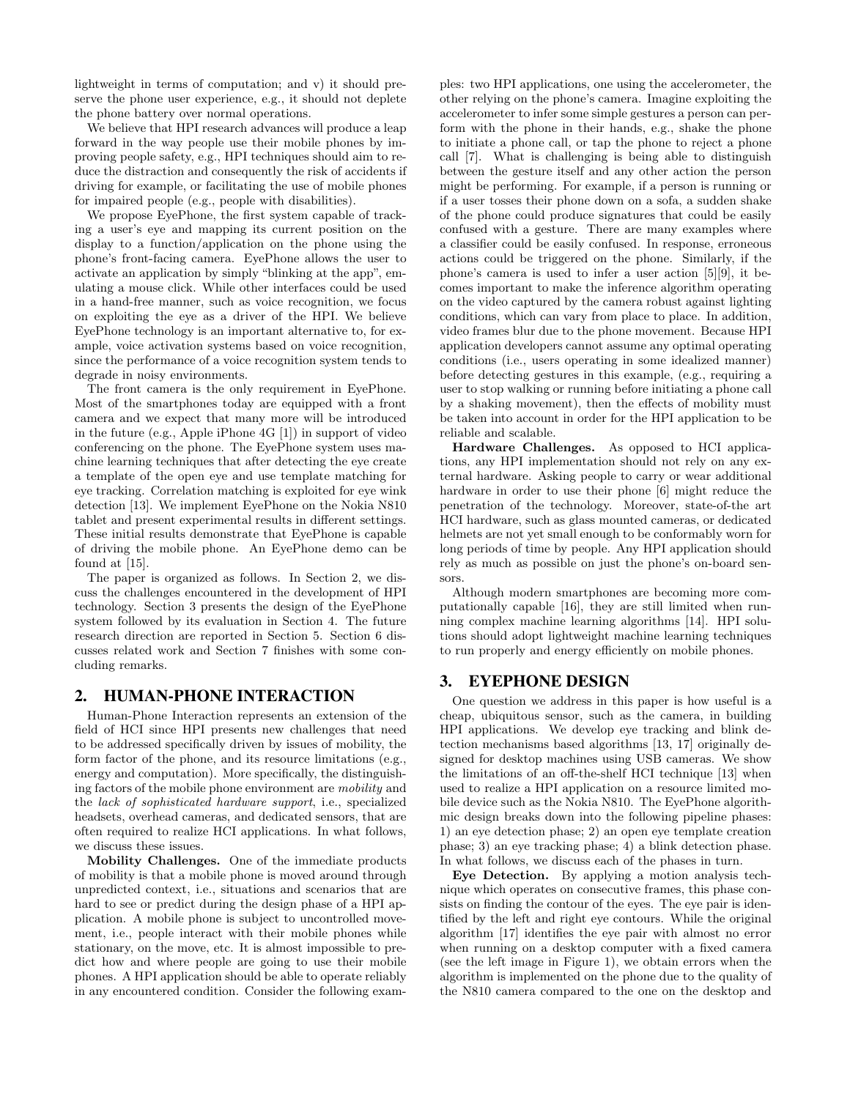lightweight in terms of computation; and v) it should preserve the phone user experience, e.g., it should not deplete the phone battery over normal operations.

We believe that HPI research advances will produce a leap forward in the way people use their mobile phones by improving people safety, e.g., HPI techniques should aim to reduce the distraction and consequently the risk of accidents if driving for example, or facilitating the use of mobile phones for impaired people (e.g., people with disabilities).

We propose EyePhone, the first system capable of tracking a user's eye and mapping its current position on the display to a function/application on the phone using the phone's front-facing camera. EyePhone allows the user to activate an application by simply "blinking at the app", emulating a mouse click. While other interfaces could be used in a hand-free manner, such as voice recognition, we focus on exploiting the eye as a driver of the HPI. We believe EyePhone technology is an important alternative to, for example, voice activation systems based on voice recognition, since the performance of a voice recognition system tends to degrade in noisy environments.

The front camera is the only requirement in EyePhone. Most of the smartphones today are equipped with a front camera and we expect that many more will be introduced in the future (e.g., Apple iPhone 4G [1]) in support of video conferencing on the phone. The EyePhone system uses machine learning techniques that after detecting the eye create a template of the open eye and use template matching for eye tracking. Correlation matching is exploited for eye wink detection [13]. We implement EyePhone on the Nokia N810 tablet and present experimental results in different settings. These initial results demonstrate that EyePhone is capable of driving the mobile phone. An EyePhone demo can be found at [15].

The paper is organized as follows. In Section 2, we discuss the challenges encountered in the development of HPI technology. Section 3 presents the design of the EyePhone system followed by its evaluation in Section 4. The future research direction are reported in Section 5. Section 6 discusses related work and Section 7 finishes with some concluding remarks.

#### 2. HUMAN-PHONE INTERACTION

Human-Phone Interaction represents an extension of the field of HCI since HPI presents new challenges that need to be addressed specifically driven by issues of mobility, the form factor of the phone, and its resource limitations (e.g., energy and computation). More specifically, the distinguishing factors of the mobile phone environment are mobility and the lack of sophisticated hardware support, i.e., specialized headsets, overhead cameras, and dedicated sensors, that are often required to realize HCI applications. In what follows, we discuss these issues.

Mobility Challenges. One of the immediate products of mobility is that a mobile phone is moved around through unpredicted context, i.e., situations and scenarios that are hard to see or predict during the design phase of a HPI application. A mobile phone is subject to uncontrolled movement, i.e., people interact with their mobile phones while stationary, on the move, etc. It is almost impossible to predict how and where people are going to use their mobile phones. A HPI application should be able to operate reliably in any encountered condition. Consider the following examples: two HPI applications, one using the accelerometer, the other relying on the phone's camera. Imagine exploiting the accelerometer to infer some simple gestures a person can perform with the phone in their hands, e.g., shake the phone to initiate a phone call, or tap the phone to reject a phone call [7]. What is challenging is being able to distinguish between the gesture itself and any other action the person might be performing. For example, if a person is running or if a user tosses their phone down on a sofa, a sudden shake of the phone could produce signatures that could be easily confused with a gesture. There are many examples where a classifier could be easily confused. In response, erroneous actions could be triggered on the phone. Similarly, if the phone's camera is used to infer a user action [5][9], it becomes important to make the inference algorithm operating on the video captured by the camera robust against lighting conditions, which can vary from place to place. In addition, video frames blur due to the phone movement. Because HPI application developers cannot assume any optimal operating conditions (i.e., users operating in some idealized manner) before detecting gestures in this example, (e.g., requiring a user to stop walking or running before initiating a phone call by a shaking movement), then the effects of mobility must be taken into account in order for the HPI application to be reliable and scalable.

Hardware Challenges. As opposed to HCI applications, any HPI implementation should not rely on any external hardware. Asking people to carry or wear additional hardware in order to use their phone [6] might reduce the penetration of the technology. Moreover, state-of-the art HCI hardware, such as glass mounted cameras, or dedicated helmets are not yet small enough to be conformably worn for long periods of time by people. Any HPI application should rely as much as possible on just the phone's on-board sensors.

Although modern smartphones are becoming more computationally capable [16], they are still limited when running complex machine learning algorithms [14]. HPI solutions should adopt lightweight machine learning techniques to run properly and energy efficiently on mobile phones.

#### 3. EYEPHONE DESIGN

One question we address in this paper is how useful is a cheap, ubiquitous sensor, such as the camera, in building HPI applications. We develop eye tracking and blink detection mechanisms based algorithms [13, 17] originally designed for desktop machines using USB cameras. We show the limitations of an off-the-shelf HCI technique [13] when used to realize a HPI application on a resource limited mobile device such as the Nokia N810. The EyePhone algorithmic design breaks down into the following pipeline phases: 1) an eye detection phase; 2) an open eye template creation phase; 3) an eye tracking phase; 4) a blink detection phase. In what follows, we discuss each of the phases in turn.

Eye Detection. By applying a motion analysis technique which operates on consecutive frames, this phase consists on finding the contour of the eyes. The eye pair is identified by the left and right eye contours. While the original algorithm [17] identifies the eye pair with almost no error when running on a desktop computer with a fixed camera (see the left image in Figure 1), we obtain errors when the algorithm is implemented on the phone due to the quality of the N810 camera compared to the one on the desktop and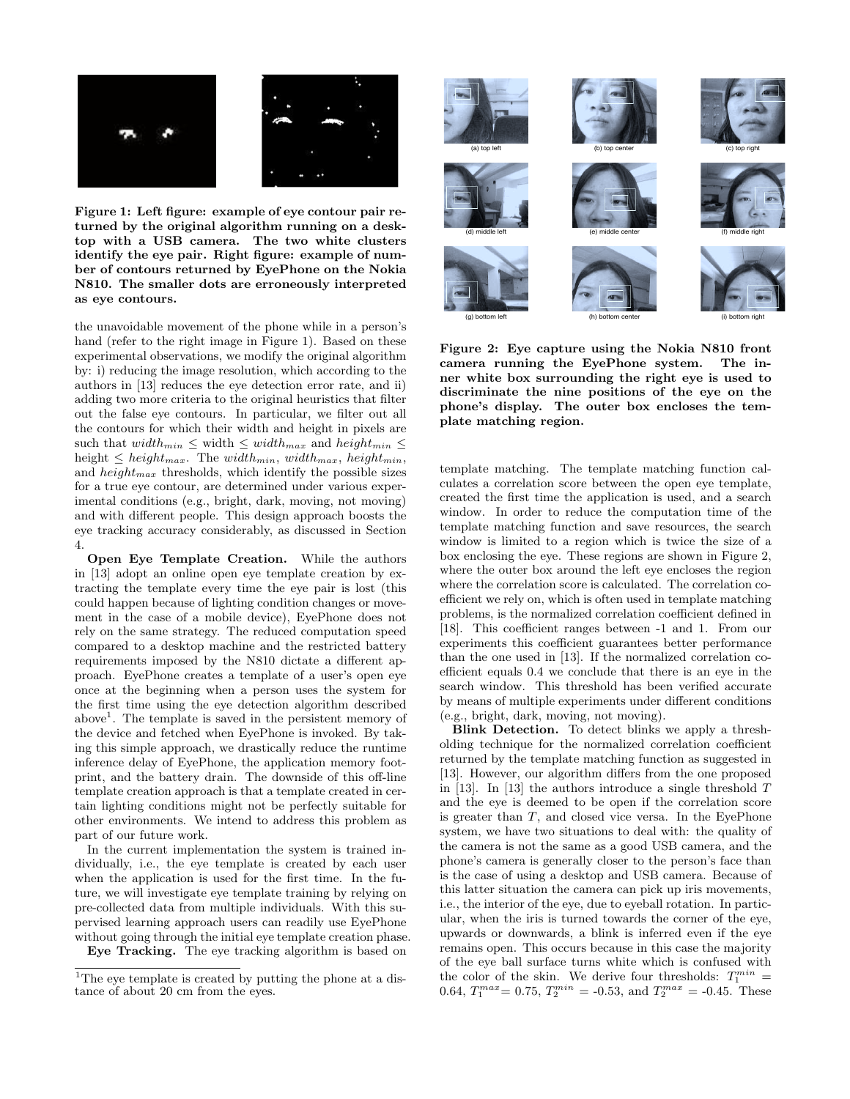

Figure 1: Left figure: example of eye contour pair returned by the original algorithm running on a desktop with a USB camera. The two white clusters identify the eye pair. Right figure: example of number of contours returned by EyePhone on the Nokia N810. The smaller dots are erroneously interpreted as eye contours.

the unavoidable movement of the phone while in a person's hand (refer to the right image in Figure 1). Based on these experimental observations, we modify the original algorithm by: i) reducing the image resolution, which according to the authors in [13] reduces the eye detection error rate, and ii) adding two more criteria to the original heuristics that filter out the false eye contours. In particular, we filter out all the contours for which their width and height in pixels are such that  $width_{min} \leq width \leq width_{max}$  and  $height_{min} \leq$ height  $\leq$  height<sub>max</sub>. The width<sub>min</sub>, width<sub>max</sub>, height<sub>min</sub>, and  $height_{max}$  thresholds, which identify the possible sizes for a true eye contour, are determined under various experimental conditions (e.g., bright, dark, moving, not moving) and with different people. This design approach boosts the eye tracking accuracy considerably, as discussed in Section 4.

Open Eye Template Creation. While the authors in [13] adopt an online open eye template creation by extracting the template every time the eye pair is lost (this could happen because of lighting condition changes or movement in the case of a mobile device), EyePhone does not rely on the same strategy. The reduced computation speed compared to a desktop machine and the restricted battery requirements imposed by the N810 dictate a different approach. EyePhone creates a template of a user's open eye once at the beginning when a person uses the system for the first time using the eye detection algorithm described above<sup>1</sup>. The template is saved in the persistent memory of the device and fetched when EyePhone is invoked. By taking this simple approach, we drastically reduce the runtime inference delay of EyePhone, the application memory footprint, and the battery drain. The downside of this off-line template creation approach is that a template created in certain lighting conditions might not be perfectly suitable for other environments. We intend to address this problem as part of our future work.

In the current implementation the system is trained individually, i.e., the eye template is created by each user when the application is used for the first time. In the future, we will investigate eye template training by relying on pre-collected data from multiple individuals. With this supervised learning approach users can readily use EyePhone without going through the initial eye template creation phase.

Eye Tracking. The eye tracking algorithm is based on











(g) bottom left (h) bottom center (i) bottom right

Figure 2: Eye capture using the Nokia N810 front camera running the EyePhone system. The inner white box surrounding the right eye is used to discriminate the nine positions of the eye on the phone's display. The outer box encloses the template matching region.

template matching. The template matching function calculates a correlation score between the open eye template, created the first time the application is used, and a search window. In order to reduce the computation time of the template matching function and save resources, the search window is limited to a region which is twice the size of a box enclosing the eye. These regions are shown in Figure 2, where the outer box around the left eye encloses the region where the correlation score is calculated. The correlation coefficient we rely on, which is often used in template matching problems, is the normalized correlation coefficient defined in [18]. This coefficient ranges between -1 and 1. From our experiments this coefficient guarantees better performance than the one used in [13]. If the normalized correlation coefficient equals 0.4 we conclude that there is an eye in the search window. This threshold has been verified accurate by means of multiple experiments under different conditions (e.g., bright, dark, moving, not moving).

Blink Detection. To detect blinks we apply a thresholding technique for the normalized correlation coefficient returned by the template matching function as suggested in [13]. However, our algorithm differs from the one proposed in [13]. In [13] the authors introduce a single threshold  $T$ and the eye is deemed to be open if the correlation score is greater than T, and closed vice versa. In the EyePhone system, we have two situations to deal with: the quality of the camera is not the same as a good USB camera, and the phone's camera is generally closer to the person's face than is the case of using a desktop and USB camera. Because of this latter situation the camera can pick up iris movements, i.e., the interior of the eye, due to eyeball rotation. In particular, when the iris is turned towards the corner of the eye, upwards or downwards, a blink is inferred even if the eye remains open. This occurs because in this case the majority of the eye ball surface turns white which is confused with the color of the skin. We derive four thresholds:  $T_1^{min} =$ 0.64,  $T_1^{max} = 0.75$ ,  $T_2^{min} = -0.53$ , and  $T_2^{max} = -0.45$ . These

<sup>&</sup>lt;sup>1</sup>The eye template is created by putting the phone at a distance of about 20 cm from the eyes.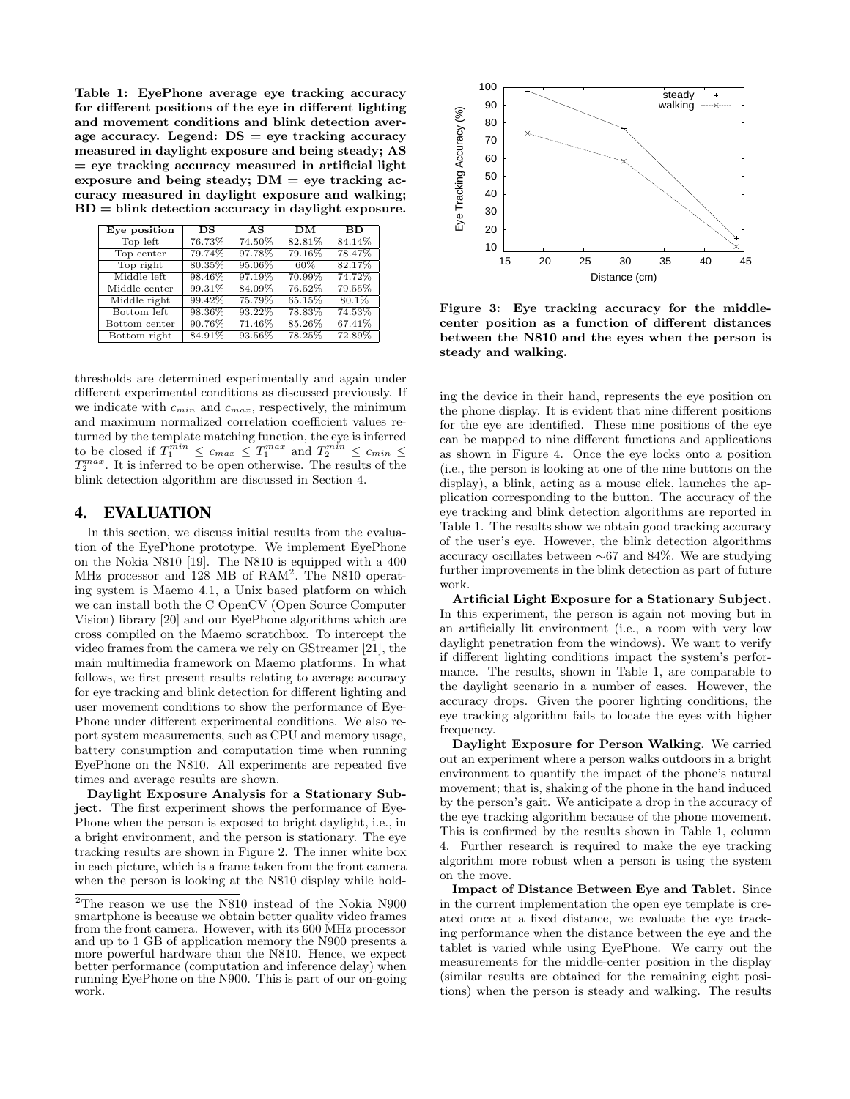Table 1: EyePhone average eye tracking accuracy for different positions of the eye in different lighting and movement conditions and blink detection average accuracy. Legend:  $DS = eye$  tracking accuracy measured in daylight exposure and being steady; AS  $=$  eye tracking accuracy measured in artificial light exposure and being steady;  $DM = eye$  tracking accuracy measured in daylight exposure and walking;  $BD =$  blink detection accuracy in daylight exposure.

| Eye position  | DS     | AS     | DM     | BD     |
|---------------|--------|--------|--------|--------|
| Top left      | 76.73% | 74.50% | 82.81% | 84.14% |
| Top center    | 79.74% | 97.78% | 79.16% | 78.47% |
| Top right     | 80.35% | 95.06% | $60\%$ | 82.17% |
| Middle left   | 98.46% | 97.19% | 70.99% | 74.72% |
| Middle center | 99.31% | 84.09% | 76.52% | 79.55% |
| Middle right  | 99.42% | 75.79% | 65.15% | 80.1%  |
| Bottom left   | 98.36% | 93.22% | 78.83% | 74.53% |
| Bottom center | 90.76% | 71.46% | 85.26% | 67.41% |
| Bottom right  | 84.91% | 93.56% | 78.25% | 72.89% |

thresholds are determined experimentally and again under different experimental conditions as discussed previously. If we indicate with  $c_{min}$  and  $c_{max}$ , respectively, the minimum and maximum normalized correlation coefficient values returned by the template matching function, the eye is inferred to be closed if  $T_1^{min} \leq c_{max} \leq T_1^{max}$  and  $T_2^{min} \leq c_{min} \leq$  $T_2^{max}$ . It is inferred to be open otherwise. The results of the blink detection algorithm are discussed in Section 4.

#### 4. EVALUATION

In this section, we discuss initial results from the evaluation of the EyePhone prototype. We implement EyePhone on the Nokia N810 [19]. The N810 is equipped with a 400 MHz processor and 128 MB of RAM<sup>2</sup>. The N810 operating system is Maemo 4.1, a Unix based platform on which we can install both the C OpenCV (Open Source Computer Vision) library [20] and our EyePhone algorithms which are cross compiled on the Maemo scratchbox. To intercept the video frames from the camera we rely on GStreamer [21], the main multimedia framework on Maemo platforms. In what follows, we first present results relating to average accuracy for eye tracking and blink detection for different lighting and user movement conditions to show the performance of Eye-Phone under different experimental conditions. We also report system measurements, such as CPU and memory usage, battery consumption and computation time when running EyePhone on the N810. All experiments are repeated five times and average results are shown.

Daylight Exposure Analysis for a Stationary Subject. The first experiment shows the performance of Eye-Phone when the person is exposed to bright daylight, i.e., in a bright environment, and the person is stationary. The eye tracking results are shown in Figure 2. The inner white box in each picture, which is a frame taken from the front camera when the person is looking at the N810 display while hold-



Figure 3: Eye tracking accuracy for the middlecenter position as a function of different distances between the N810 and the eyes when the person is steady and walking.

ing the device in their hand, represents the eye position on the phone display. It is evident that nine different positions for the eye are identified. These nine positions of the eye can be mapped to nine different functions and applications as shown in Figure 4. Once the eye locks onto a position (i.e., the person is looking at one of the nine buttons on the display), a blink, acting as a mouse click, launches the application corresponding to the button. The accuracy of the eye tracking and blink detection algorithms are reported in Table 1. The results show we obtain good tracking accuracy of the user's eye. However, the blink detection algorithms accuracy oscillates between ∼67 and 84%. We are studying further improvements in the blink detection as part of future work.

Artificial Light Exposure for a Stationary Subject. In this experiment, the person is again not moving but in an artificially lit environment (i.e., a room with very low daylight penetration from the windows). We want to verify if different lighting conditions impact the system's performance. The results, shown in Table 1, are comparable to the daylight scenario in a number of cases. However, the accuracy drops. Given the poorer lighting conditions, the eye tracking algorithm fails to locate the eyes with higher frequency.

Daylight Exposure for Person Walking. We carried out an experiment where a person walks outdoors in a bright environment to quantify the impact of the phone's natural movement; that is, shaking of the phone in the hand induced by the person's gait. We anticipate a drop in the accuracy of the eye tracking algorithm because of the phone movement. This is confirmed by the results shown in Table 1, column 4. Further research is required to make the eye tracking algorithm more robust when a person is using the system on the move.

Impact of Distance Between Eye and Tablet. Since in the current implementation the open eye template is created once at a fixed distance, we evaluate the eye tracking performance when the distance between the eye and the tablet is varied while using EyePhone. We carry out the measurements for the middle-center position in the display (similar results are obtained for the remaining eight positions) when the person is steady and walking. The results

<sup>2</sup>The reason we use the N810 instead of the Nokia N900 smartphone is because we obtain better quality video frames from the front camera. However, with its 600 MHz processor and up to 1 GB of application memory the N900 presents a more powerful hardware than the N810. Hence, we expect better performance (computation and inference delay) when running EyePhone on the N900. This is part of our on-going work.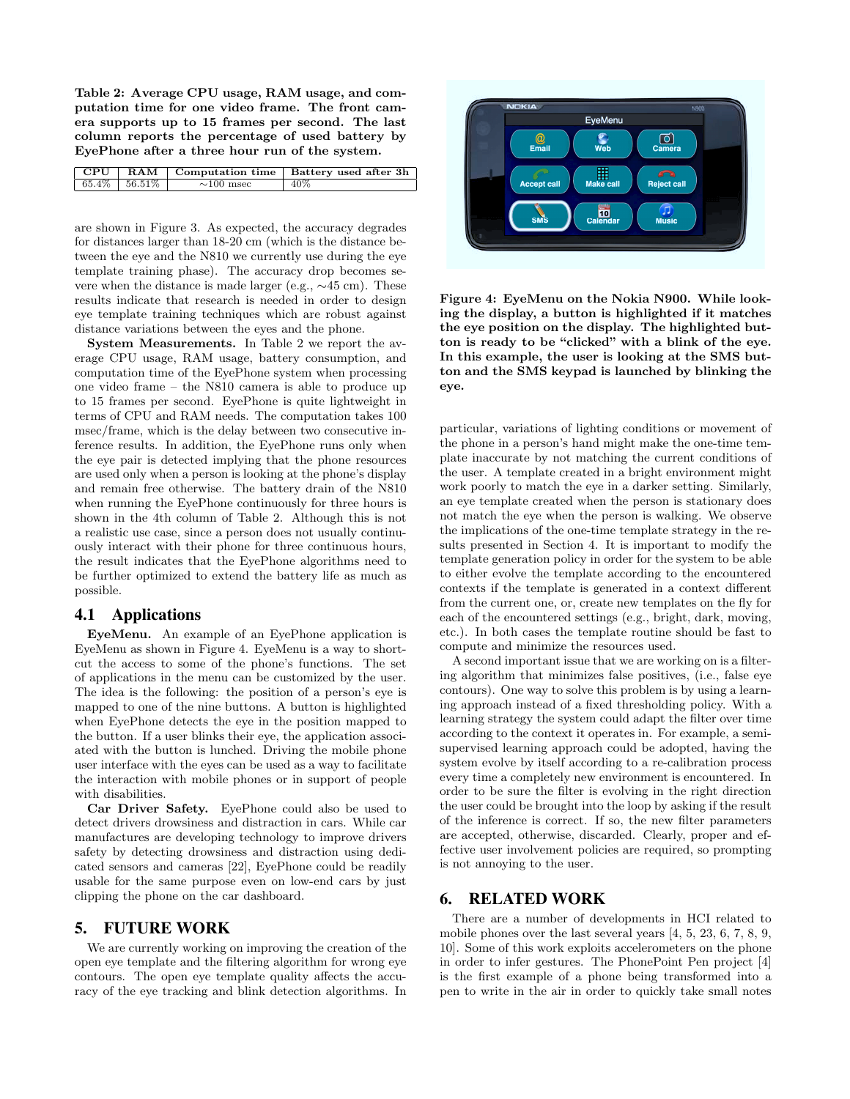Table 2: Average CPU usage, RAM usage, and computation time for one video frame. The front camera supports up to 15 frames per second. The last column reports the percentage of used battery by EyePhone after a three hour run of the system.

|                  |                 | CPU   RAM   Computation time   Battery used after 3h |
|------------------|-----------------|------------------------------------------------------|
| $65.4\%$ 56.51\% | $\sim 100$ msec | -40%                                                 |

are shown in Figure 3. As expected, the accuracy degrades for distances larger than 18-20 cm (which is the distance between the eye and the N810 we currently use during the eye template training phase). The accuracy drop becomes severe when the distance is made larger (e.g., ∼45 cm). These results indicate that research is needed in order to design eye template training techniques which are robust against distance variations between the eyes and the phone.

System Measurements. In Table 2 we report the average CPU usage, RAM usage, battery consumption, and computation time of the EyePhone system when processing one video frame – the N810 camera is able to produce up to 15 frames per second. EyePhone is quite lightweight in terms of CPU and RAM needs. The computation takes 100 msec/frame, which is the delay between two consecutive inference results. In addition, the EyePhone runs only when the eye pair is detected implying that the phone resources are used only when a person is looking at the phone's display and remain free otherwise. The battery drain of the N810 when running the EyePhone continuously for three hours is shown in the 4th column of Table 2. Although this is not a realistic use case, since a person does not usually continuously interact with their phone for three continuous hours, the result indicates that the EyePhone algorithms need to be further optimized to extend the battery life as much as possible.

# 4.1 Applications

EyeMenu. An example of an EyePhone application is EyeMenu as shown in Figure 4. EyeMenu is a way to shortcut the access to some of the phone's functions. The set of applications in the menu can be customized by the user. The idea is the following: the position of a person's eye is mapped to one of the nine buttons. A button is highlighted when EyePhone detects the eye in the position mapped to the button. If a user blinks their eye, the application associated with the button is lunched. Driving the mobile phone user interface with the eyes can be used as a way to facilitate the interaction with mobile phones or in support of people with disabilities.

Car Driver Safety. EyePhone could also be used to detect drivers drowsiness and distraction in cars. While car manufactures are developing technology to improve drivers safety by detecting drowsiness and distraction using dedicated sensors and cameras [22], EyePhone could be readily usable for the same purpose even on low-end cars by just clipping the phone on the car dashboard.

# 5. FUTURE WORK

We are currently working on improving the creation of the open eye template and the filtering algorithm for wrong eye contours. The open eye template quality affects the accuracy of the eye tracking and blink detection algorithms. In



Figure 4: EyeMenu on the Nokia N900. While looking the display, a button is highlighted if it matches the eye position on the display. The highlighted button is ready to be "clicked" with a blink of the eye. In this example, the user is looking at the SMS button and the SMS keypad is launched by blinking the eye.

particular, variations of lighting conditions or movement of the phone in a person's hand might make the one-time template inaccurate by not matching the current conditions of the user. A template created in a bright environment might work poorly to match the eye in a darker setting. Similarly, an eye template created when the person is stationary does not match the eye when the person is walking. We observe the implications of the one-time template strategy in the results presented in Section 4. It is important to modify the template generation policy in order for the system to be able to either evolve the template according to the encountered contexts if the template is generated in a context different from the current one, or, create new templates on the fly for each of the encountered settings (e.g., bright, dark, moving, etc.). In both cases the template routine should be fast to compute and minimize the resources used.

A second important issue that we are working on is a filtering algorithm that minimizes false positives, (i.e., false eye contours). One way to solve this problem is by using a learning approach instead of a fixed thresholding policy. With a learning strategy the system could adapt the filter over time according to the context it operates in. For example, a semisupervised learning approach could be adopted, having the system evolve by itself according to a re-calibration process every time a completely new environment is encountered. In order to be sure the filter is evolving in the right direction the user could be brought into the loop by asking if the result of the inference is correct. If so, the new filter parameters are accepted, otherwise, discarded. Clearly, proper and effective user involvement policies are required, so prompting is not annoying to the user.

#### 6. RELATED WORK

There are a number of developments in HCI related to mobile phones over the last several years [4, 5, 23, 6, 7, 8, 9, 10]. Some of this work exploits accelerometers on the phone in order to infer gestures. The PhonePoint Pen project [4] is the first example of a phone being transformed into a pen to write in the air in order to quickly take small notes